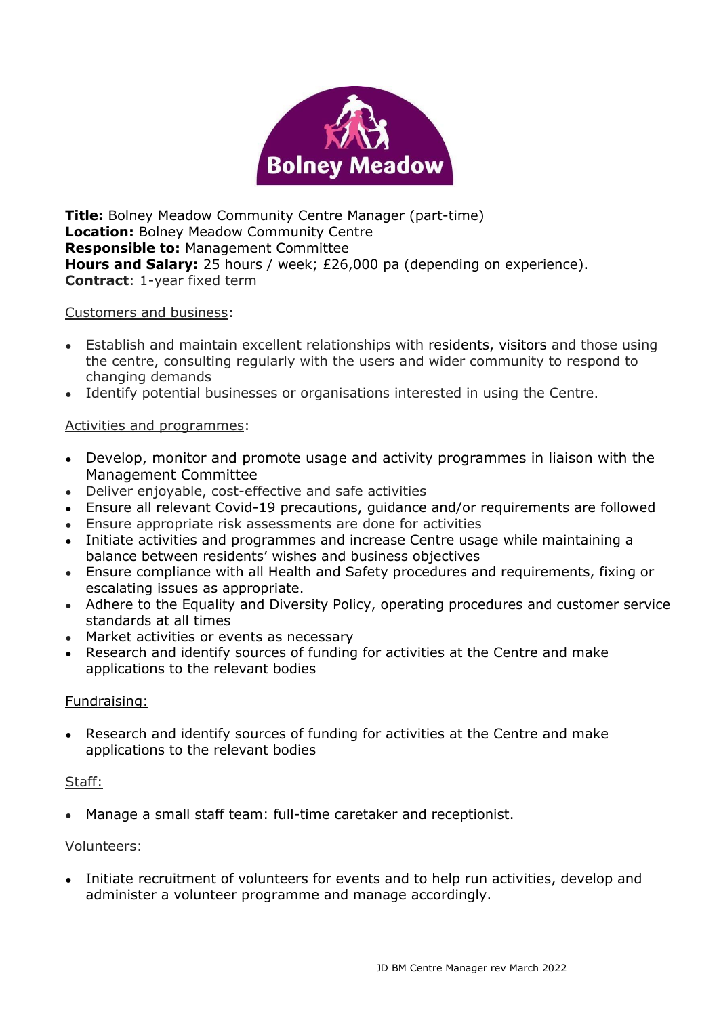

**Title:** Bolney Meadow Community Centre Manager (part-time) **Location:** Bolney Meadow Community Centre **Responsible to:** Management Committee **Hours and Salary:** 25 hours / week; £26,000 pa (depending on experience). **Contract**: 1-year fixed term

### Customers and business:

- Establish and maintain excellent relationships with residents, visitors and those using the centre, consulting regularly with the users and wider community to respond to changing demands
- Identify potential businesses or organisations interested in using the Centre.

### Activities and programmes:

- Develop, monitor and promote usage and activity programmes in liaison with the Management Committee
- Deliver enjoyable, cost-effective and safe activities
- Ensure all relevant Covid-19 precautions, guidance and/or requirements are followed
- Ensure appropriate risk assessments are done for activities
- Initiate activities and programmes and increase Centre usage while maintaining a balance between residents' wishes and business objectives
- Ensure compliance with all Health and Safety procedures and requirements, fixing or escalating issues as appropriate.
- Adhere to the Equality and Diversity Policy, operating procedures and customer service standards at all times
- Market activities or events as necessary
- Research and identify sources of funding for activities at the Centre and make applications to the relevant bodies

#### Fundraising:

• Research and identify sources of funding for activities at the Centre and make applications to the relevant bodies

#### Staff:

• Manage a small staff team: full-time caretaker and receptionist.

#### Volunteers:

• Initiate recruitment of volunteers for events and to help run activities, develop and administer a volunteer programme and manage accordingly.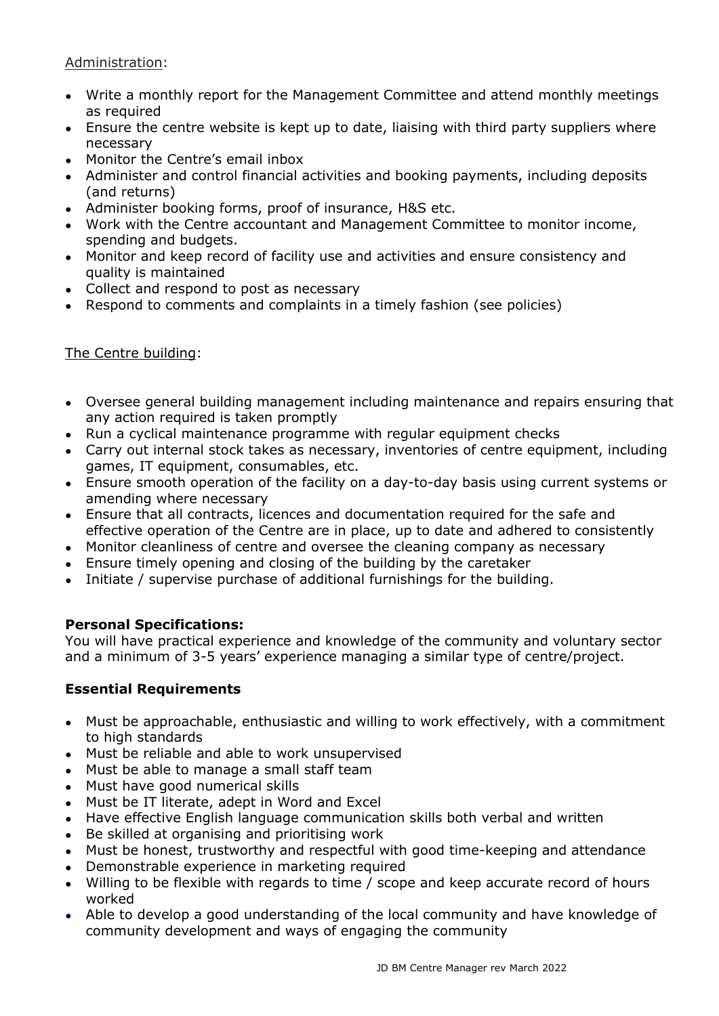### Administration:

- Write a monthly report for the Management Committee and attend monthly meetings as required
- Ensure the centre website is kept up to date, liaising with third party suppliers where necessary
- Monitor the Centre's email inbox
- Administer and control financial activities and booking payments, including deposits (and returns)
- Administer booking forms, proof of insurance, H&S etc.
- Work with the Centre accountant and Management Committee to monitor income, spending and budgets.
- Monitor and keep record of facility use and activities and ensure consistency and quality is maintained
- Collect and respond to post as necessary
- Respond to comments and complaints in a timely fashion (see policies)

# The Centre building:

- Oversee general building management including maintenance and repairs ensuring that any action required is taken promptly
- Run a cyclical maintenance programme with regular equipment checks
- Carry out internal stock takes as necessary, inventories of centre equipment, including games, IT equipment, consumables, etc.
- Ensure smooth operation of the facility on a day-to-day basis using current systems or amending where necessary
- Ensure that all contracts, licences and documentation required for the safe and effective operation of the Centre are in place, up to date and adhered to consistently
- Monitor cleanliness of centre and oversee the cleaning company as necessary
- Ensure timely opening and closing of the building by the caretaker
- Initiate / supervise purchase of additional furnishings for the building.

## **Personal Specifications:**

You will have practical experience and knowledge of the community and voluntary sector and a minimum of 3-5 years' experience managing a similar type of centre/project.

## **Essential Requirements**

- Must be approachable, enthusiastic and willing to work effectively, with a commitment to high standards
- Must be reliable and able to work unsupervised
- Must be able to manage a small staff team
- Must have good numerical skills
- Must be IT literate, adept in Word and Excel
- Have effective English language communication skills both verbal and written
- Be skilled at organising and prioritising work
- Must be honest, trustworthy and respectful with good time-keeping and attendance
- Demonstrable experience in marketing required
- Willing to be flexible with regards to time / scope and keep accurate record of hours worked
- Able to develop a good understanding of the local community and have knowledge of community development and ways of engaging the community